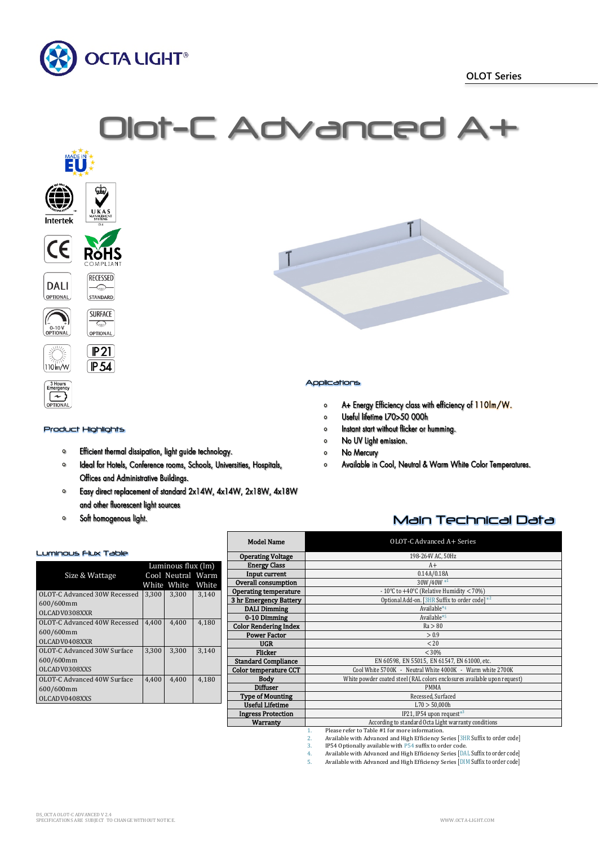

Olot-C Advanced A



# Product Highlights

 $\left\{ \infty\right\}$ 

**PTION** 

- $\mathbf{o}$ Efficient thermal dissipation, light guide technology.
- $\bullet$ Ideal for Hotels, Conference rooms, Schools, Universities, Hospitals, Offices and Administrative Buildings.
- Easy direct replacement of standard 2x14W, 4x14W, 2x18W, 4x18W  $\circ$ and other fluorescent light sources
- $\bullet$ Soft homogenous light.

# Luminous Flux Table

|                              | Luminous flux (lm) |                   |       |
|------------------------------|--------------------|-------------------|-------|
| Size & Wattage               |                    | Cool Neutral Warm |       |
|                              |                    | White White       | White |
| OLOT-C Advanced 30W Recessed | 3,300              | 3,300             | 3,140 |
| 600/600mm                    |                    |                   |       |
| OLCADV0308XXR                |                    |                   |       |
| OLOT-C Advanced 40W Recessed | 4,400              | 4,400             | 4,180 |
| 600/600mm                    |                    |                   |       |
| OLCADV0408XXR                |                    |                   |       |
| OLOT-C Advanced 30W Surface  | 3.300              | 3.300             | 3.140 |
| 600/600mm                    |                    |                   |       |
| OLCADV0308XXS                |                    |                   |       |
| OLOT-C Advanced 40W Surface  | 4.400              | 4.400             | 4,180 |
| 600/600mm                    |                    |                   |       |
| OLCADV0408XXS                |                    |                   |       |

| <b>Model Name</b>            | OLOT-C Advanced A+ Series                                                |
|------------------------------|--------------------------------------------------------------------------|
| <b>Operating Voltage</b>     | 198-264V AC, 50Hz                                                        |
| <b>Energy Class</b>          | $A+$                                                                     |
| Input current                | 0.14A/0.18A                                                              |
| Overall consumption          | 30W/40W*1                                                                |
| <b>Operating temperature</b> | - 10°C to +40°C (Relative Humidity $<$ 70%)                              |
| 3 hr Emergency Battery       | Optional Add-on. [3HR Suffix to order code] *2                           |
| <b>DALI Dimming</b>          | Available*4                                                              |
| 0-10 Dimming                 | Available*5                                                              |
| <b>Color Rendering Index</b> | Ra > 80                                                                  |
| <b>Power Factor</b>          | > 0.9                                                                    |
| <b>UGR</b>                   | < 20                                                                     |
| <b>Flicker</b>               | < 30%                                                                    |
| <b>Standard Compliance</b>   | EN 60598, EN 55015, EN 61547, EN 61000, etc.                             |
| Color temperature CCT        | Cool White 5700K - Neutral White 4000K - Warm white 2700K                |
| <b>Body</b>                  | White powder coated steel (RAL colors enclosures available upon request) |
| <b>Diffuser</b>              | <b>PMMA</b>                                                              |
| <b>Type of Mounting</b>      | Recessed, Surfaced                                                       |
| <b>Useful Lifetime</b>       | L70 > 50,000h                                                            |
| <b>Ingress Protection</b>    | IP21, IP54 upon request*3                                                |
| Warranty                     | According to standard Octa Light warranty conditions                     |
|                              | Blogge unfou to Toble #1 fou move information<br>и.                      |

1. Please refer to Table #1 for more information.

2. Available with Advanced and High Efficiency Series [3HR Suffix to order code]

3. IP54 Optionally available with P54 suffix to order code.<br>4. Available with Advanced and High Efficiency Series [D]<br>5. Available with Advanced and High Efficiency Series [D] 4. Available with Advanced and High Efficiency Series [DAL Suffix to order code] 5. Available with Advanced and High Efficiency Series [DIM Suffix to order code]

## Applications

- A+ Energy Efficiency class with efficiency of 110lm/W.  $\bullet$
- Useful lifetime L70>50 000h  $\mathbf{o}$
- Instant start without flicker or humming.  $\circ$
- No UV light emission.  $\circ$
- No Mercury  $\circ$
- Available in Cool, Neutral & Warm White Color Temperatures.  $\circ$

# Main Technical Data

| DS OCTA OLOT-C ADVANCED V 2.4                        |                    |
|------------------------------------------------------|--------------------|
| SPECIFICATIONS ARE SUBIECT TO CHANGE WITHOUT NOTICE. | WWW.OCTA-LIGHT.COM |